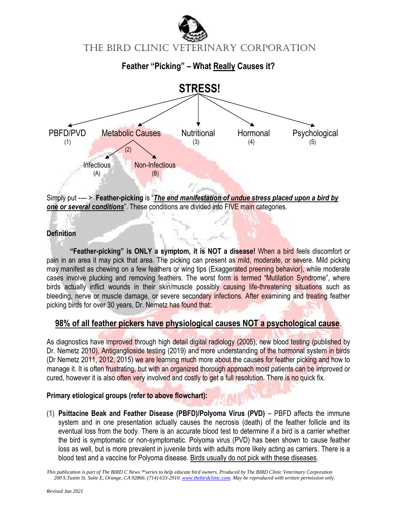



Simply put ---- > **Feather-picking** is "*The end manifestation of undue stress placed upon a bird by one or several conditions*". These conditions are divided into FIVE main categories.

### **Definition**

**"Feather-picking" is ONLY a symptom, it is NOT a disease!** When a bird feels discomfort or pain in an area it may pick that area. The picking can present as mild, moderate, or severe. Mild picking may manifest as chewing on a few feathers or wing tips (Exaggerated preening behavior), while moderate cases involve plucking and removing feathers. The worst form is termed "Mutilation Syndrome", where birds actually inflict wounds in their skin/muscle possibly causing life-threatening situations such as bleeding, nerve or muscle damage, or severe secondary infections. After examining and treating feather picking birds for over 30 years, Dr. Nemetz has found that:

### **98% of all feather pickers have physiological causes NOT a psychological cause**.

As diagnostics have improved through high detail digital radiology (2005), new blood testing (published by Dr. Nemetz 2010), Antiganglioside testing (2019) and more understanding of the hormonal system in birds (Dr Nemetz 2011, 2012, 2015) we are learning much more about the causes for feather picking and how to manage it. It is often frustrating, but with an organized thorough approach most patients can be improved or cured, however it is also often very involved and costly to get a full resolution. There is no quick fix.

### **Primary etiological groups (refer to above flowchart):**

(1) **Psittacine Beak and Feather Disease (PBFD)/Polyoma Virus (PVD)** – PBFD affects the immune system and in one presentation actually causes the necrosis (death) of the feather follicle and its eventual loss from the body. There is an accurate blood test to determine if a bird is a carrier whether the bird is symptomatic or non-symptomatic. Polyoma virus (PVD) has been shown to cause feather loss as well, but is more prevalent in juvenile birds with adults more likely acting as carriers. There is a blood test and a vaccine for Polyoma disease. Birds usually do not pick with these diseases.

*This publication is part of The BIRD C News* <sup>*M*</sup> series to help educate bird owners. Produced by The BIRD Clinic Veterinary Corporation *200 S.Tustin St. Suite E, Orange, CA 92866. (714) 633-2910[. www.thebirdclinic.com.](http://www.thebirdclinic.com/) May be reproduced with written permission only.*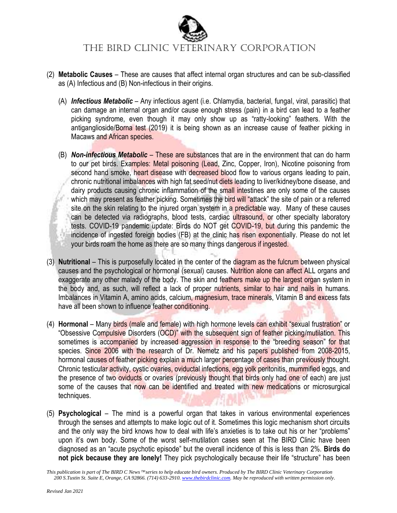

# The BIRD Clinic VETERINARY CORPORATION

- (2) **Metabolic Causes** These are causes that affect internal organ structures and can be sub-classified as (A) Infectious and (B) Non-infectious in their origins.
	- (A) *Infectious Metabolic* Any infectious agent (i.e. Chlamydia, bacterial, fungal, viral, parasitic) that can damage an internal organ and/or cause enough stress (pain) in a bird can lead to a feather picking syndrome, even though it may only show up as "ratty-looking" feathers. With the antiganglioside/Borna test (2019) it is being shown as an increase cause of feather picking in Macaws and African species.
	- (B) *Non-infectious Metabolic* These are substances that are in the environment that can do harm to our pet birds. Examples: Metal poisoning (Lead, Zinc, Copper, Iron), Nicotine poisoning from second hand smoke, heart disease with decreased blood flow to various organs leading to pain, chronic nutritional imbalances with high fat seed/nut diets leading to liver/kidney/bone disease, and dairy products causing chronic inflammation of the small intestines are only some of the causes which may present as feather picking. Sometimes the bird will "attack" the site of pain or a referred site on the skin relating to the injured organ system in a predictable way. Many of these causes can be detected via radiographs, blood tests, cardiac ultrasound, or other specialty laboratory tests. COVID-19 pandemic update: Birds do NOT get COVID-19, but during this pandemic the incidence of ingested foreign bodies (FB) at the clinic has risen exponentially. Please do not let your birds roam the home as there are so many things dangerous if ingested.
- (3) **Nutritional** This is purposefully located in the center of the diagram as the fulcrum between physical causes and the psychological or hormonal (sexual) causes. Nutrition alone can affect ALL organs and exaggerate any other malady of the body. The skin and feathers make up the largest organ system in the body and, as such, will reflect a lack of proper nutrients, similar to hair and nails in humans. Imbalances in Vitamin A, amino acids, calcium, magnesium, trace minerals, Vitamin B and excess fats have all been shown to influence feather conditioning.
- (4) **Hormonal** Many birds (male and female) with high hormone levels can exhibit "sexual frustration" or "Obsessive Compulsive Disorders (OCD)" with the subsequent sign of feather picking/mutilation. This sometimes is accompanied by increased aggression in response to the "breeding season" for that species. Since 2006 with the research of Dr. Nemetz and his papers published from 2008-2015, hormonal causes of feather picking explain a much larger percentage of cases than previously thought. Chronic testicular activity, cystic ovaries, oviductal infections, egg yolk peritonitis, mummified eggs, and the presence of two oviducts or ovaries (previously thought that birds only had one of each) are just some of the causes that now can be identified and treated with new medications or microsurgical techniques.
- (5) **Psychological** The mind is a powerful organ that takes in various environmental experiences through the senses and attempts to make logic out of it. Sometimes this logic mechanism short circuits and the only way the bird knows how to deal with life's anxieties is to take out his or her "problems" upon it's own body. Some of the worst self-mutilation cases seen at The BIRD Clinic have been diagnosed as an "acute psychotic episode" but the overall incidence of this is less than 2%. **Birds do not pick because they are lonely!** They pick psychologically because their life "structure" has been

*This publication is part of The BIRD C News* <sup>™</sup> series to help educate bird owners. Produced by The BIRD Clinic Veterinary Corporation *200 S.Tustin St. Suite E, Orange, CA 92866. (714) 633-2910[. www.thebirdclinic.com.](http://www.thebirdclinic.com/) May be reproduced with written permission only.*